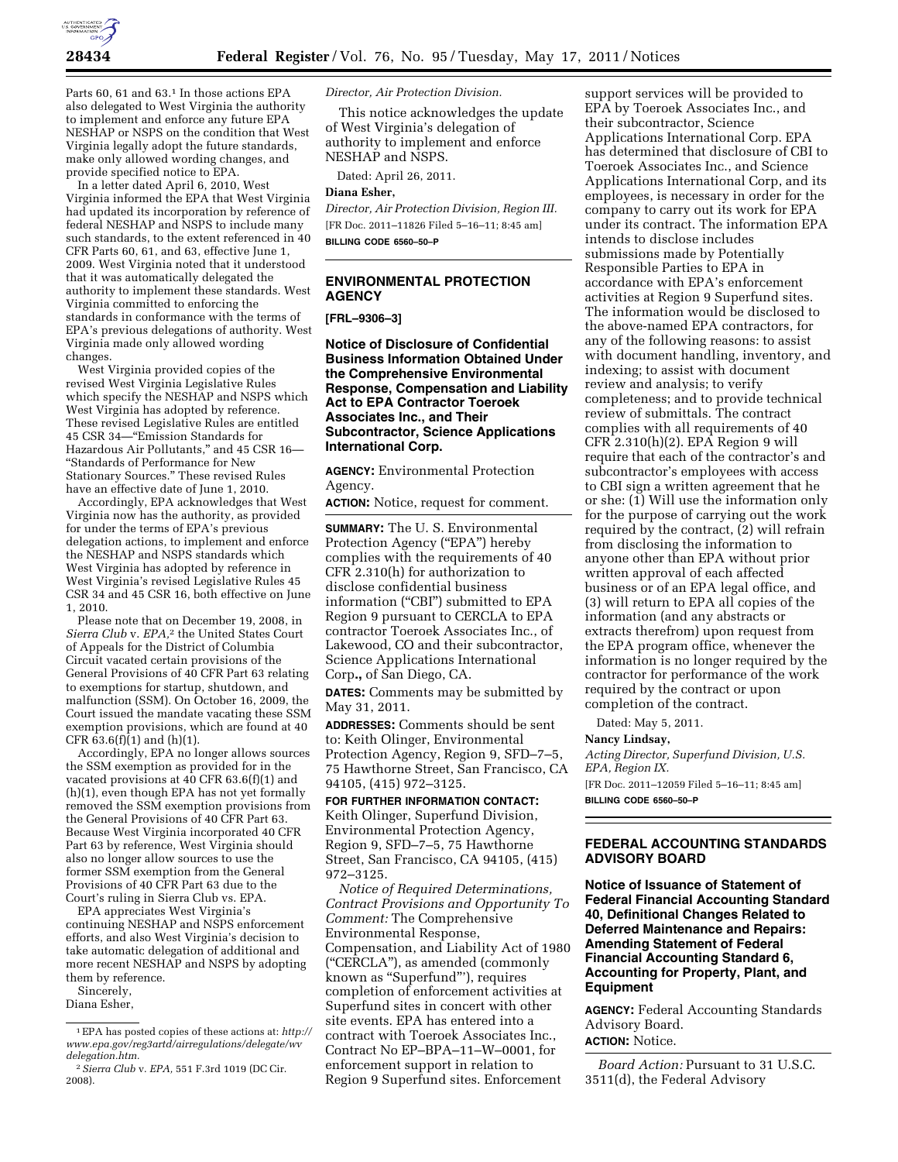

Parts 60, 61 and 63.<sup>1</sup> In those actions EPA also delegated to West Virginia the authority to implement and enforce any future EPA NESHAP or NSPS on the condition that West Virginia legally adopt the future standards, make only allowed wording changes, and provide specified notice to EPA.

In a letter dated April 6, 2010, West Virginia informed the EPA that West Virginia had updated its incorporation by reference of federal NESHAP and NSPS to include many such standards, to the extent referenced in 40 CFR Parts 60, 61, and 63, effective June 1, 2009. West Virginia noted that it understood that it was automatically delegated the authority to implement these standards. West Virginia committed to enforcing the standards in conformance with the terms of EPA's previous delegations of authority. West Virginia made only allowed wording changes.

West Virginia provided copies of the revised West Virginia Legislative Rules which specify the NESHAP and NSPS which West Virginia has adopted by reference. These revised Legislative Rules are entitled 45 CSR 34—''Emission Standards for Hazardous Air Pollutants,'' and 45 CSR 16— ''Standards of Performance for New Stationary Sources.'' These revised Rules have an effective date of June 1, 2010.

Accordingly, EPA acknowledges that West Virginia now has the authority, as provided for under the terms of EPA's previous delegation actions, to implement and enforce the NESHAP and NSPS standards which West Virginia has adopted by reference in West Virginia's revised Legislative Rules 45 CSR 34 and 45 CSR 16, both effective on June 1, 2010.

Please note that on December 19, 2008, in *Sierra Club* v. *EPA,*2 the United States Court of Appeals for the District of Columbia Circuit vacated certain provisions of the General Provisions of 40 CFR Part 63 relating to exemptions for startup, shutdown, and malfunction (SSM). On October 16, 2009, the Court issued the mandate vacating these SSM exemption provisions, which are found at 40 CFR  $63.6(f)(1)$  and  $(h)(1)$ .

Accordingly, EPA no longer allows sources the SSM exemption as provided for in the vacated provisions at  $40$  CFR 63.6(f)(1) and (h)(1), even though EPA has not yet formally removed the SSM exemption provisions from the General Provisions of 40 CFR Part 63. Because West Virginia incorporated 40 CFR Part 63 by reference, West Virginia should also no longer allow sources to use the former SSM exemption from the General Provisions of 40 CFR Part 63 due to the Court's ruling in Sierra Club vs. EPA.

EPA appreciates West Virginia's continuing NESHAP and NSPS enforcement efforts, and also West Virginia's decision to take automatic delegation of additional and more recent NESHAP and NSPS by adopting them by reference.

Sincerely,

Diana Esher,

*Director, Air Protection Division.* 

This notice acknowledges the update of West Virginia's delegation of authority to implement and enforce NESHAP and NSPS.

Dated: April 26, 2011.

# **Diana Esher,**

*Director, Air Protection Division, Region III.*  [FR Doc. 2011–11826 Filed 5–16–11; 8:45 am] **BILLING CODE 6560–50–P** 

# **ENVIRONMENTAL PROTECTION AGENCY**

**[FRL–9306–3]** 

**Notice of Disclosure of Confidential Business Information Obtained Under the Comprehensive Environmental Response, Compensation and Liability Act to EPA Contractor Toeroek Associates Inc., and Their Subcontractor, Science Applications International Corp.** 

**AGENCY:** Environmental Protection Agency.

**ACTION:** Notice, request for comment.

**SUMMARY:** The U. S. Environmental Protection Agency ("EPA") hereby complies with the requirements of 40 CFR 2.310(h) for authorization to disclose confidential business information ("CBI") submitted to EPA Region 9 pursuant to CERCLA to EPA contractor Toeroek Associates Inc., of Lakewood, CO and their subcontractor, Science Applications International Corp**.,** of San Diego, CA.

**DATES:** Comments may be submitted by May 31, 2011.

**ADDRESSES:** Comments should be sent to: Keith Olinger, Environmental Protection Agency, Region 9, SFD–7–5, 75 Hawthorne Street, San Francisco, CA 94105, (415) 972–3125.

**FOR FURTHER INFORMATION CONTACT:**  Keith Olinger, Superfund Division, Environmental Protection Agency, Region 9, SFD–7–5, 75 Hawthorne Street, San Francisco, CA 94105, (415) 972–3125.

*Notice of Required Determinations, Contract Provisions and Opportunity To Comment:* The Comprehensive Environmental Response, Compensation, and Liability Act of 1980 (''CERCLA''), as amended (commonly known as ''Superfund'''), requires completion of enforcement activities at Superfund sites in concert with other site events. EPA has entered into a contract with Toeroek Associates Inc., Contract No EP–BPA–11–W–0001, for enforcement support in relation to Region 9 Superfund sites. Enforcement

support services will be provided to EPA by Toeroek Associates Inc., and their subcontractor, Science Applications International Corp. EPA has determined that disclosure of CBI to Toeroek Associates Inc., and Science Applications International Corp, and its employees, is necessary in order for the company to carry out its work for EPA under its contract. The information EPA intends to disclose includes submissions made by Potentially Responsible Parties to EPA in accordance with EPA's enforcement activities at Region 9 Superfund sites. The information would be disclosed to the above-named EPA contractors, for any of the following reasons: to assist with document handling, inventory, and indexing; to assist with document review and analysis; to verify completeness; and to provide technical review of submittals. The contract complies with all requirements of 40 CFR 2.310(h)(2). EPA Region 9 will require that each of the contractor's and subcontractor's employees with access to CBI sign a written agreement that he or she: (1) Will use the information only for the purpose of carrying out the work required by the contract, (2) will refrain from disclosing the information to anyone other than EPA without prior written approval of each affected business or of an EPA legal office, and (3) will return to EPA all copies of the information (and any abstracts or extracts therefrom) upon request from the EPA program office, whenever the information is no longer required by the contractor for performance of the work required by the contract or upon completion of the contract.

Dated: May 5, 2011.

#### **Nancy Lindsay,**

*Acting Director, Superfund Division, U.S. EPA, Region IX.*  [FR Doc. 2011–12059 Filed 5–16–11; 8:45 am] **BILLING CODE 6560–50–P** 

#### **FEDERAL ACCOUNTING STANDARDS ADVISORY BOARD**

**Notice of Issuance of Statement of Federal Financial Accounting Standard 40, Definitional Changes Related to Deferred Maintenance and Repairs: Amending Statement of Federal Financial Accounting Standard 6, Accounting for Property, Plant, and Equipment** 

**AGENCY:** Federal Accounting Standards Advisory Board. **ACTION:** Notice.

*Board Action:* Pursuant to 31 U.S.C. 3511(d), the Federal Advisory

<sup>1</sup>EPA has posted copies of these actions at: *[http://](http://www.epa.gov/reg3artd/airregulations/delegate/wvdelegation.htm)  [www.epa.gov/reg3artd/airregulations/delegate/wv](http://www.epa.gov/reg3artd/airregulations/delegate/wvdelegation.htm) [delegation.htm.](http://www.epa.gov/reg3artd/airregulations/delegate/wvdelegation.htm)* 

<sup>2</sup>*Sierra Club* v. *EPA,* 551 F.3rd 1019 (DC Cir. 2008).